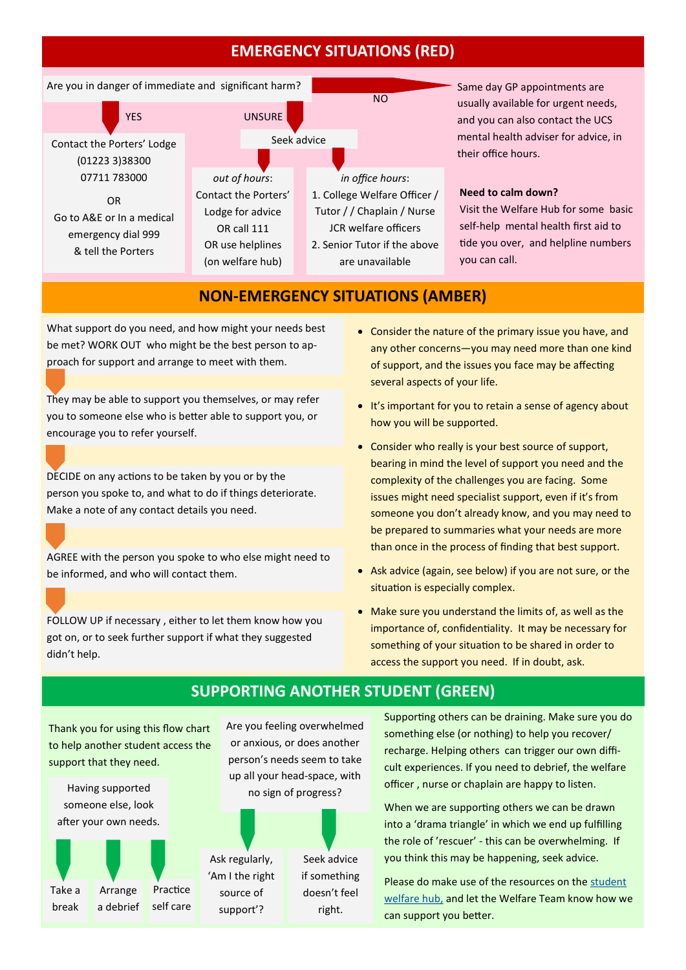## **EMERGENCY SITUATIONS (RED)**



Same day GP appointments are usually available for urgent needs, and you can also contact the UCS mental health adviser for advice, in their office hours.

#### **Need to calm down?**

[Visit the Welfare Hub fo](https://www.findsupportcam.com/emergency-support)r some basic self-help mental health first aid to tide you over, and helpline numbers you can call.

#### **NON-EMERGENCY SITUATIONS (AMBER)**

What support do you need, and how might your needs best be met? WORK OUT who might be the best person to approach for support and arrange to meet with them.

They may be able to support you themselves, or may refer you to someone else who is better able to support you, or encourage you to refer yourself.

DECIDE on any actions to be taken by you or by the person you spoke to, and what to do if things deteriorate. Make a note of any contact details you need.

AGREE with the person you spoke to who else might need to be informed, and who will contact them.

FOLLOW UP if necessary , either to let them know how you got on, or to seek further support if what they suggested didn't help.

- Consider the nature of the primary issue you have, and any other concerns—you may need more than one kind of support, and the issues you face may be affecting several aspects of your life.
- It's important for you to retain a sense of agency about how you will be supported.
- Consider who really is your best source of support, bearing in mind the level of support you need and the complexity of the challenges you are facing. Some issues might need specialist support, even if it's from someone you don't already know, and you may need to be prepared to summaries what your needs are more than once in the process of finding that best support.
- Ask advice (again, see below) if you are not sure, or the situation is especially complex.
- Make sure you understand the limits of, as well as the importance of, confidentiality. It may be necessary for something of your situation to be shared in order to access the support you need. If in doubt, ask.

### **SUPPORTING ANOTHER STUDENT (GREEN)**

Thank you for using this flow chart to help another student access the support that they need.

Take a Having supported someone else, look after your own needs.

Arrange a debrief

break



Are you feeling overwhelmed or anxious, or does another person's needs seem to take up all your head-space, with no sign of progress?



Supporting others can be draining. Make sure you do something else (or nothing) to help you recover/ recharge. Helping others can trigger our own difficult experiences. If you need to debrief, the welfare officer , nurse or chaplain are happy to listen.

When we are supporting others we can be drawn into a 'drama triangle' in which we end up fulfilling the role of 'rescuer' - this can be overwhelming. If you think this may be happening, seek advice.

Please do make use of the resources on the [student](https://www.caths.cam.ac.uk/students/welfarehub)  [welfare hub,](https://www.caths.cam.ac.uk/students/welfarehub) and let the Welfare Team know how we can support you better.